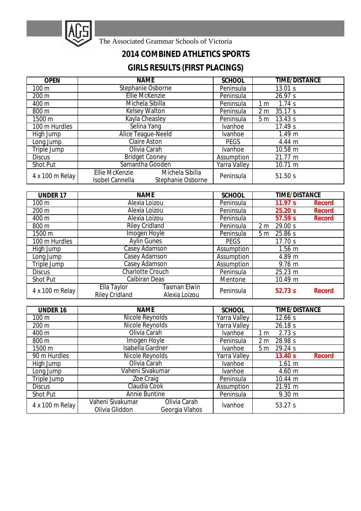

The Associated Grammar Schools of Victoria

## **2014 COMBINED ATHLETICS SPORTS**

## **GIRLS RESULTS (FIRST PLACINGS)**

| <b>OPEN</b>      | <b>NAME</b>                                                                                    | <b>SCHOOL</b>       | <b>TIME/DISTANCE</b>      |
|------------------|------------------------------------------------------------------------------------------------|---------------------|---------------------------|
| 100 <sub>m</sub> | Stephanie Osborne                                                                              | Peninsula           | 13.01 s                   |
| 200 m            | <b>Ellie McKenzie</b>                                                                          | Peninsula           | 26.97 s                   |
| 400 m            | Michela Sibilla                                                                                | Peninsula           | 1.74s<br>1 <sub>m</sub>   |
| 800 m            | <b>Kelsey Walton</b>                                                                           | Peninsula           | 35.17 s<br>2 <sub>m</sub> |
| 1500 m           | Kayla Cheasley                                                                                 | Peninsula           | 13.43 s<br>5 <sub>m</sub> |
| 100 m Hurdles    | Selina Yang                                                                                    | Ivanhoe             | 17.49 s                   |
| High Jump        | <b>Alice Teague-Neeld</b>                                                                      | Ivanhoe             | 1.49 m                    |
| Long Jump        | <b>Claire Aston</b>                                                                            | <b>PEGS</b>         | 4.44 m                    |
| Triple Jump      | Olivia Carah                                                                                   | <b>Ivanhoe</b>      | 10.58 m                   |
| <b>Discus</b>    | <b>Bridget Cooney</b>                                                                          | Assumption          | 21.77 m                   |
| <b>Shot Put</b>  | Samantha Gooden                                                                                | <b>Yarra Valley</b> | 10.71 m                   |
| 4 x 100 m Relay  | <b>Ellie McKenzie</b><br>Michela Sibilla<br><b>Isobel Cannella</b><br><b>Stephanie Osborne</b> | Peninsula           | 51.50 s                   |

| <b>UNDER 17</b>  | <b>NAME</b>                                                                  | <b>SCHOOL</b> | <b>TIME/DISTANCE</b>      |  |
|------------------|------------------------------------------------------------------------------|---------------|---------------------------|--|
| 100 <sub>m</sub> | Alexia Loizou                                                                | Peninsula     | 11.97 s<br>Record         |  |
| 200 m            | Alexia Loizou<br>Peninsula                                                   |               | 25.20 s<br>Record         |  |
| 400 m            | Alexia Loizou<br>Peninsula                                                   |               | 57.59 s<br><b>Record</b>  |  |
| 800 m            | <b>Riley Cridland</b>                                                        | Peninsula     | 29.00 s<br>2 <sub>m</sub> |  |
| 1500 m           | <b>Imogen Hoyle</b>                                                          | Peninsula     | 25.86 s<br>5 <sub>m</sub> |  |
| 100 m Hurdles    | <b>Aylin Gunes</b>                                                           | <b>PEGS</b>   | 17.70 s                   |  |
| High Jump        | Casey Adamson                                                                | Assumption    | $1.56$ m                  |  |
| Long Jump        | Casey Adamson                                                                | Assumption    | 4.89 m                    |  |
| Triple Jump      | <b>Casey Adamson</b>                                                         | Assumption    | 9.76 m                    |  |
| <b>Discus</b>    | <b>Charlotte Crouch</b>                                                      | Peninsula     | 25.23 m                   |  |
| <b>Shot Put</b>  | <b>Caibiran Deas</b>                                                         | Mentone       | 10.49 m                   |  |
| 4 x 100 m Relay  | <b>Tasman Elwin</b><br>Ella Taylor<br><b>Riley Cridland</b><br>Alexia Loizou | Peninsula     | 52.73 s<br>Record         |  |

| <b>UNDER 16</b> | <b>NAME</b>                                                          | <b>SCHOOL</b>       | <b>TIME/DISTANCE</b>      |  |
|-----------------|----------------------------------------------------------------------|---------------------|---------------------------|--|
| 100 m           | Nicole Reynolds                                                      | <b>Yarra Valley</b> | 12.66 s                   |  |
| 200 m           | <b>Nicole Reynolds</b><br><b>Yarra Valley</b>                        |                     | 26.18 s                   |  |
| 400 m           | Olivia Carah                                                         | <b>Ivanhoe</b>      | 2.73 s<br>1 m             |  |
| 800 m           | Imogen Hoyle                                                         | Peninsula           | 28.98 s<br>2 <sub>m</sub> |  |
| 1500 m          | <b>Isabella Gardner</b>                                              | <b>Ivanhoe</b>      | 29.24 s<br>5 <sub>m</sub> |  |
| 90 m Hurdles    | Nicole Reynolds                                                      | <b>Yarra Valley</b> | 13.40 s<br>Record         |  |
| High Jump       | Olivia Carah                                                         | <b>Ivanhoe</b>      | 1.61 m                    |  |
| Long Jump       | Vaheni Sivakumar                                                     | <b>Ivanhoe</b>      | 4.60 m                    |  |
| Triple Jump     | Zoe Craig                                                            | Peninsula           | $10.44 \; m$              |  |
| <b>Discus</b>   | Claudia Cook                                                         | Assumption          | 21.91 m                   |  |
| <b>Shot Put</b> | <b>Annie Buntine</b>                                                 | Peninsula           | 9.30 m                    |  |
| 4 x 100 m Relay | Vaheni Sivakumar<br>Olivia Carah<br>Olivia Gliddon<br>Georgia Vlahos | Ivanhoe             | 53.27 s                   |  |